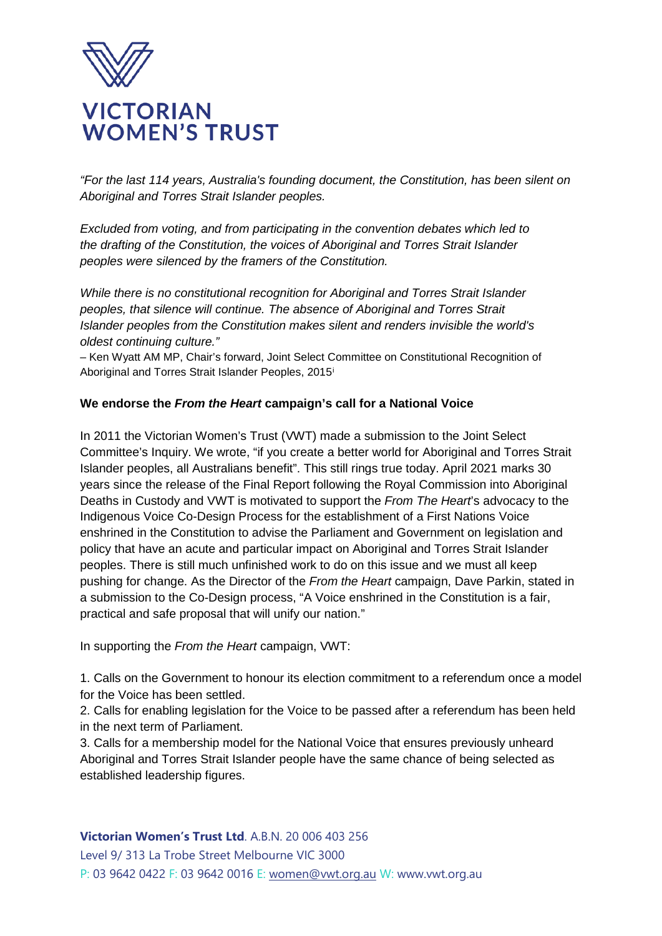

*"For the last 114 years, Australia's founding document, the Constitution, has been silent on Aboriginal and Torres Strait Islander peoples.*

*Excluded from voting, and from participating in the convention debates which led to the drafting of the Constitution, the voices of Aboriginal and Torres Strait Islander peoples were silenced by the framers of the Constitution.*

*While there is no constitutional recognition for Aboriginal and Torres Strait Islander peoples, that silence will continue. The absence of Aboriginal and Torres Strait Islander peoples from the Constitution makes silent and renders invisible the world's oldest continuing culture."*

– Ken Wyatt AM MP, Chair's forward, Joint Select Committee on Constitutional Recognition of Aboriginal and Torres Strait Islander Peoples, 2015[i](#page-3-0)

## **We endorse the** *From the Heart* **campaign's call for a National Voice**

In 2011 the Victorian Women's Trust (VWT) made a submission to the Joint Select Committee's Inquiry. We wrote, "if you create a better world for Aboriginal and Torres Strait Islander peoples, all Australians benefit". This still rings true today. April 2021 marks 30 years since the release of the Final Report following the Royal Commission into Aboriginal Deaths in Custody and VWT is motivated to support the *From The Heart*'s advocacy to the Indigenous Voice Co-Design Process for the establishment of a First Nations Voice enshrined in the Constitution to advise the Parliament and Government on legislation and policy that have an acute and particular impact on Aboriginal and Torres Strait Islander peoples. There is still much unfinished work to do on this issue and we must all keep pushing for change. As the Director of the *From the Heart* campaign, Dave Parkin, stated in a submission to the Co-Design process, "A Voice enshrined in the Constitution is a fair, practical and safe proposal that will unify our nation."

In supporting the *From the Heart* campaign, VWT:

1. Calls on the Government to honour its election commitment to a referendum once a model for the Voice has been settled.

2. Calls for enabling legislation for the Voice to be passed after a referendum has been held in the next term of Parliament.

3. Calls for a membership model for the National Voice that ensures previously unheard Aboriginal and Torres Strait Islander people have the same chance of being selected as established leadership figures.

#### **Victorian Women's Trust Ltd**. A.B.N. 20 006 403 256

Level 9/ 313 La Trobe Street Melbourne VIC 3000 P: 03 9642 0422 F: 03 9642 0016 E: [women@vwt.org.au](mailto:women@vwt.org.au) W: www.vwt.org.au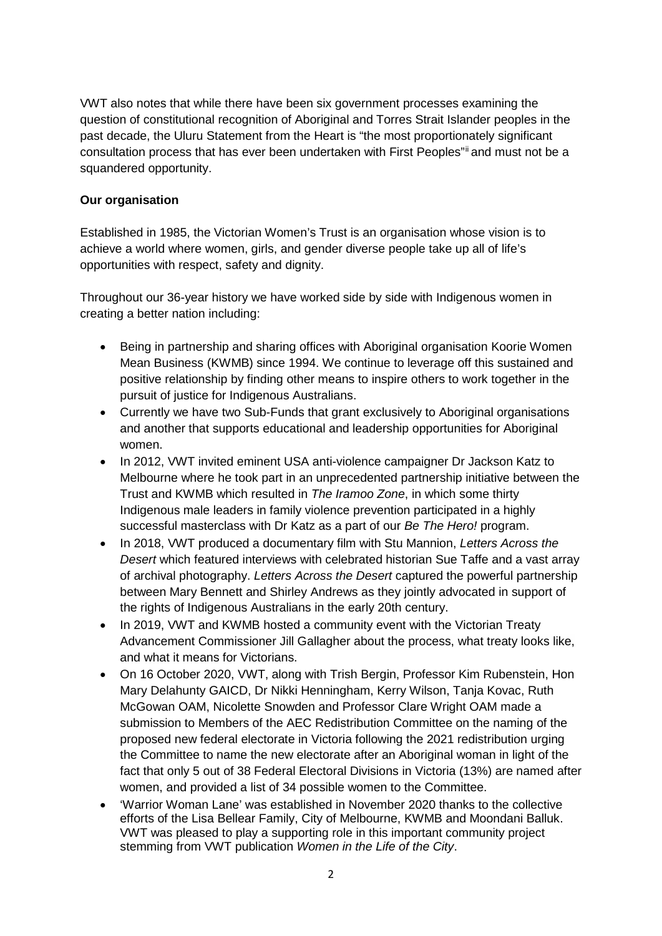VWT also notes that while there have been six government processes examining the question of constitutional recognition of Aboriginal and Torres Strait Islander peoples in the past decade, the Uluru Statement from the Heart is "the most proportionately significant consultation process that has ever been undertaken with First Peoples"[ii](#page-3-1) and must not be a squandered opportunity.

## **Our organisation**

Established in 1985, the Victorian Women's Trust is an organisation whose vision is to achieve a world where women, girls, and gender diverse people take up all of life's opportunities with respect, safety and dignity.

Throughout our 36-year history we have worked side by side with Indigenous women in creating a better nation including:

- Being in partnership and sharing offices with Aboriginal organisation Koorie Women Mean Business (KWMB) since 1994. We continue to leverage off this sustained and positive relationship by finding other means to inspire others to work together in the pursuit of justice for Indigenous Australians.
- Currently we have two Sub-Funds that grant exclusively to Aboriginal organisations and another that supports educational and leadership opportunities for Aboriginal women.
- In 2012, VWT invited eminent USA anti-violence campaigner Dr Jackson Katz to Melbourne where he took part in an unprecedented partnership initiative between the Trust and KWMB which resulted in *The Iramoo Zone*, in which some thirty Indigenous male leaders in family violence prevention participated in a highly successful masterclass with Dr Katz as a part of our *Be The Hero!* program.
- In 2018, VWT produced a documentary film with Stu Mannion, *Letters Across the Desert* which featured interviews with celebrated historian Sue Taffe and a vast array of archival photography. *Letters Across the Desert* captured the powerful partnership between Mary Bennett and Shirley Andrews as they jointly advocated in support of the rights of Indigenous Australians in the early 20th century.
- In 2019, VWT and KWMB hosted a community event with the Victorian Treaty Advancement Commissioner Jill Gallagher about the process, what treaty looks like, and what it means for Victorians.
- On 16 October 2020, VWT, along with Trish Bergin, Professor Kim Rubenstein, Hon Mary Delahunty GAICD, Dr Nikki Henningham, Kerry Wilson, Tanja Kovac, Ruth McGowan OAM, Nicolette Snowden and Professor Clare Wright OAM made a submission to Members of the AEC Redistribution Committee on the naming of the proposed new federal electorate in Victoria following the 2021 redistribution urging the Committee to name the new electorate after an Aboriginal woman in light of the fact that only 5 out of 38 Federal Electoral Divisions in Victoria (13%) are named after women, and provided a list of 34 possible women to the Committee.
- 'Warrior Woman Lane' was established in November 2020 thanks to the collective efforts of the Lisa Bellear Family, City of Melbourne, KWMB and Moondani Balluk. VWT was pleased to play a supporting role in this important community project stemming from VWT publication *Women in the Life of the City*.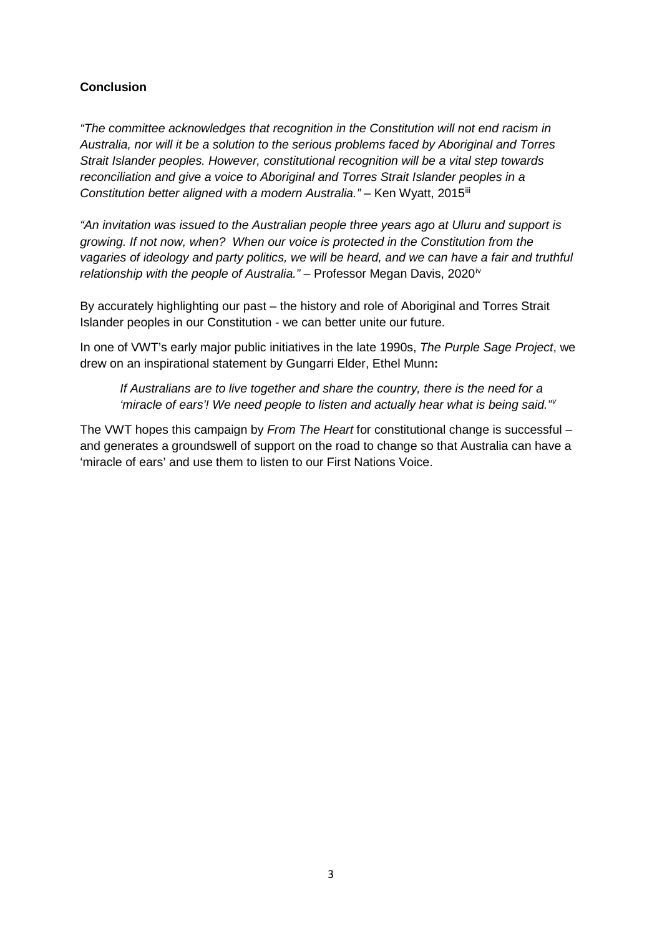# **Conclusion**

*"The committee acknowledges that recognition in the Constitution will not end racism in Australia, nor will it be a solution to the serious problems faced by Aboriginal and Torres Strait Islander peoples. However, constitutional recognition will be a vital step towards reconciliation and give a voice to Aboriginal and Torres Strait Islander peoples in a Constitution better aligned with a modern Australia."* – Ken Wyatt, 2015<sup>[iii](#page-3-2)</sup>

*"An invitation was issued to the Australian people three years ago at Uluru and support is growing. If not now, when? When our voice is protected in the Constitution from the vagaries of ideology and party politics, we will be heard, and we can have a fair and truthful relationship with the people of Australia."* – Professor Megan Davis, 2020<sup>[iv](#page-3-3)</sup>

By accurately highlighting our past – the history and role of Aboriginal and Torres Strait Islander peoples in our Constitution - we can better unite our future.

In one of VWT's early major public initiatives in the late 1990s, *The Purple Sage Project*, we drew on an inspirational statement by Gungarri Elder, Ethel Munn**:** 

*If Australians are to live together and share the country, there is the need for a 'miracle of ears'! We need people to listen and actually hear what is being said."[v](#page-3-4)*

The VWT hopes this campaign by *From The Heart* for constitutional change is successful – and generates a groundswell of support on the road to change so that Australia can have a 'miracle of ears' and use them to listen to our First Nations Voice.